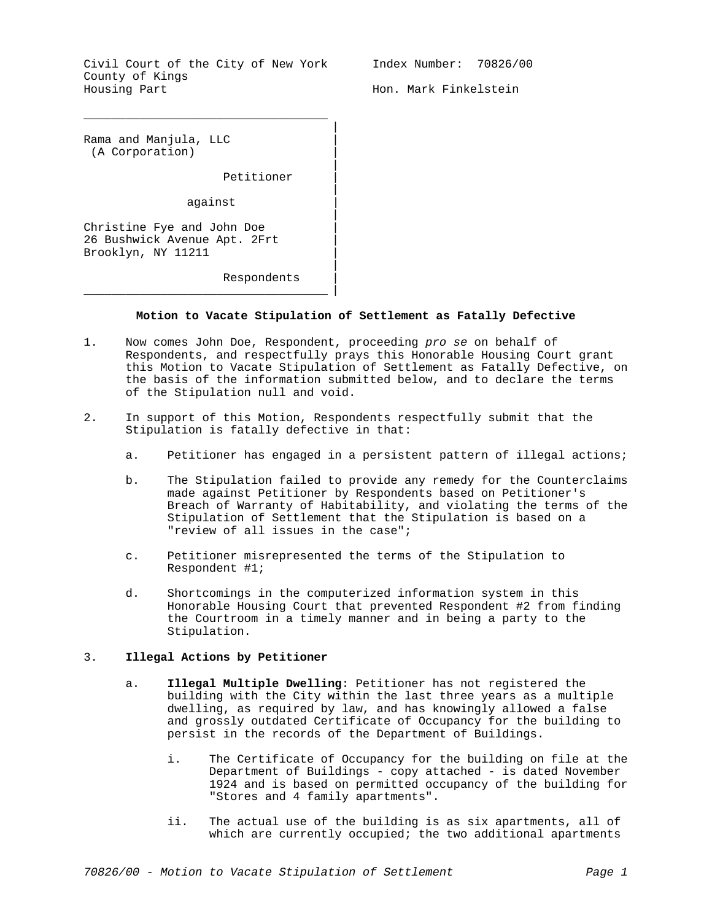Civil Court of the City of New York County of Kings Housing Part

\_\_\_\_\_\_\_\_\_\_\_\_\_\_\_\_\_\_\_\_\_\_\_\_\_\_\_\_\_\_\_\_\_\_\_

Index Number: 70826/00

Hon. Mark Finkelstein

Rama and Manjula, LLC | (A Corporation) |

Petitioner |

against |

 $\overline{\phantom{a}}$  , and the contract of the contract of the contract of  $\overline{\phantom{a}}$  ,  $\overline{\phantom{a}}$ 

Christine Fye and John Doe | 26 Bushwick Avenue Apt. 2Frt | Brooklyn, NY 11211 |

Respondents |

## **Motion to Vacate Stipulation of Settlement as Fatally Defective**

|

|

|

|

|

- 1. Now comes John Doe, Respondent, proceeding *pro se* on behalf of Respondents, and respectfully prays this Honorable Housing Court grant this Motion to Vacate Stipulation of Settlement as Fatally Defective, on the basis of the information submitted below, and to declare the terms of the Stipulation null and void.
- 2. In support of this Motion, Respondents respectfully submit that the Stipulation is fatally defective in that:
	- a. Petitioner has engaged in a persistent pattern of illegal actions;
	- b. The Stipulation failed to provide any remedy for the Counterclaims made against Petitioner by Respondents based on Petitioner's Breach of Warranty of Habitability, and violating the terms of the Stipulation of Settlement that the Stipulation is based on a "review of all issues in the case";
	- c. Petitioner misrepresented the terms of the Stipulation to Respondent #1;
	- d. Shortcomings in the computerized information system in this Honorable Housing Court that prevented Respondent #2 from finding the Courtroom in a timely manner and in being a party to the Stipulation.

## 3. **Illegal Actions by Petitioner**

- a. **Illegal Multiple Dwelling**: Petitioner has not registered the building with the City within the last three years as a multiple dwelling, as required by law, and has knowingly allowed a false and grossly outdated Certificate of Occupancy for the building to persist in the records of the Department of Buildings.
	- i. The Certificate of Occupancy for the building on file at the Department of Buildings - copy attached - is dated November 1924 and is based on permitted occupancy of the building for "Stores and 4 family apartments".
	- ii. The actual use of the building is as six apartments, all of which are currently occupied; the two additional apartments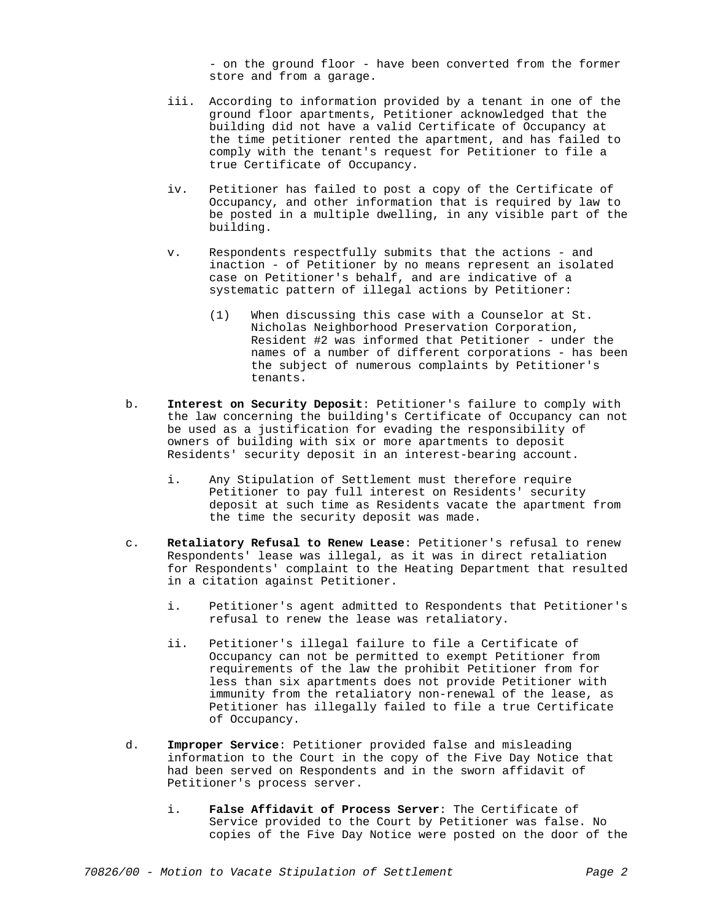- on the ground floor - have been converted from the former store and from a garage.

- iii. According to information provided by a tenant in one of the ground floor apartments, Petitioner acknowledged that the building did not have a valid Certificate of Occupancy at the time petitioner rented the apartment, and has failed to comply with the tenant's request for Petitioner to file a true Certificate of Occupancy.
- iv. Petitioner has failed to post a copy of the Certificate of Occupancy, and other information that is required by law to be posted in a multiple dwelling, in any visible part of the building.
- v. Respondents respectfully submits that the actions and inaction - of Petitioner by no means represent an isolated case on Petitioner's behalf, and are indicative of a systematic pattern of illegal actions by Petitioner:
	- (1) When discussing this case with a Counselor at St. Nicholas Neighborhood Preservation Corporation, Resident #2 was informed that Petitioner - under the names of a number of different corporations - has been the subject of numerous complaints by Petitioner's tenants.
- b. **Interest on Security Deposit**: Petitioner's failure to comply with the law concerning the building's Certificate of Occupancy can not be used as a justification for evading the responsibility of owners of building with six or more apartments to deposit Residents' security deposit in an interest-bearing account.
	- i. Any Stipulation of Settlement must therefore require Petitioner to pay full interest on Residents' security deposit at such time as Residents vacate the apartment from the time the security deposit was made.
- c. **Retaliatory Refusal to Renew Lease**: Petitioner's refusal to renew Respondents' lease was illegal, as it was in direct retaliation for Respondents' complaint to the Heating Department that resulted in a citation against Petitioner.
	- i. Petitioner's agent admitted to Respondents that Petitioner's refusal to renew the lease was retaliatory.
	- ii. Petitioner's illegal failure to file a Certificate of Occupancy can not be permitted to exempt Petitioner from requirements of the law the prohibit Petitioner from for less than six apartments does not provide Petitioner with immunity from the retaliatory non-renewal of the lease, as Petitioner has illegally failed to file a true Certificate of Occupancy.
- d. **Improper Service**: Petitioner provided false and misleading information to the Court in the copy of the Five Day Notice that had been served on Respondents and in the sworn affidavit of Petitioner's process server.
	- i. **False Affidavit of Process Server**: The Certificate of Service provided to the Court by Petitioner was false. No copies of the Five Day Notice were posted on the door of the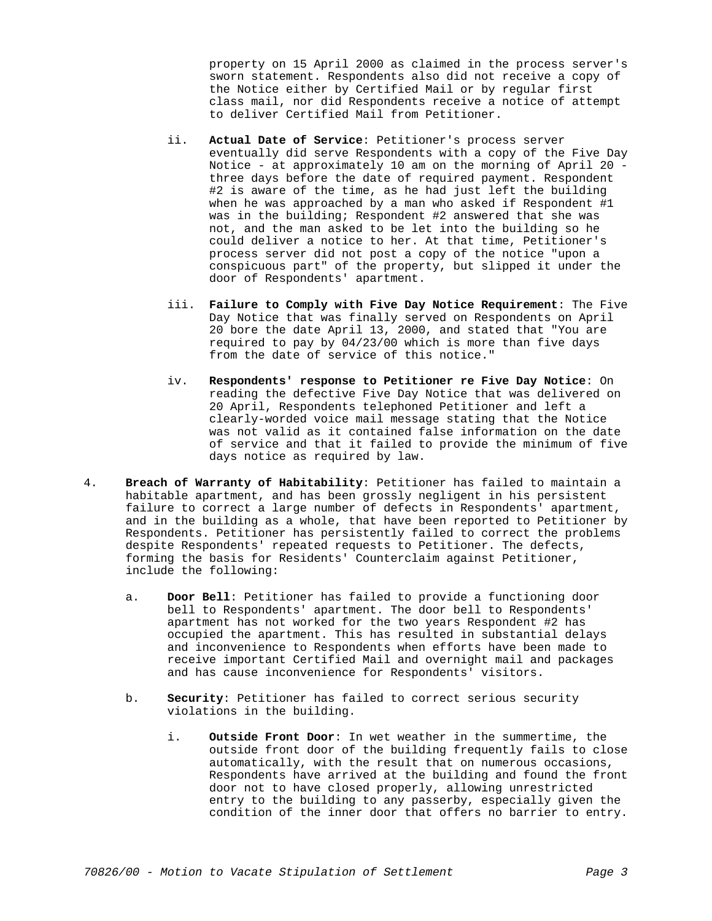property on 15 April 2000 as claimed in the process server's sworn statement. Respondents also did not receive a copy of the Notice either by Certified Mail or by regular first class mail, nor did Respondents receive a notice of attempt to deliver Certified Mail from Petitioner.

- ii. **Actual Date of Service**: Petitioner's process server eventually did serve Respondents with a copy of the Five Day Notice - at approximately 10 am on the morning of April 20 three days before the date of required payment. Respondent #2 is aware of the time, as he had just left the building when he was approached by a man who asked if Respondent #1 was in the building; Respondent #2 answered that she was not, and the man asked to be let into the building so he could deliver a notice to her. At that time, Petitioner's process server did not post a copy of the notice "upon a conspicuous part" of the property, but slipped it under the door of Respondents' apartment.
- iii. **Failure to Comply with Five Day Notice Requirement**: The Five Day Notice that was finally served on Respondents on April 20 bore the date April 13, 2000, and stated that "You are required to pay by 04/23/00 which is more than five days from the date of service of this notice."
- iv. **Respondents' response to Petitioner re Five Day Notice**: On reading the defective Five Day Notice that was delivered on 20 April, Respondents telephoned Petitioner and left a clearly-worded voice mail message stating that the Notice was not valid as it contained false information on the date of service and that it failed to provide the minimum of five days notice as required by law.
- 4. **Breach of Warranty of Habitability**: Petitioner has failed to maintain a habitable apartment, and has been grossly negligent in his persistent failure to correct a large number of defects in Respondents' apartment, and in the building as a whole, that have been reported to Petitioner by Respondents. Petitioner has persistently failed to correct the problems despite Respondents' repeated requests to Petitioner. The defects, forming the basis for Residents' Counterclaim against Petitioner, include the following:
	- a. **Door Bell**: Petitioner has failed to provide a functioning door bell to Respondents' apartment. The door bell to Respondents' apartment has not worked for the two years Respondent #2 has occupied the apartment. This has resulted in substantial delays and inconvenience to Respondents when efforts have been made to receive important Certified Mail and overnight mail and packages and has cause inconvenience for Respondents' visitors.
	- b. **Security**: Petitioner has failed to correct serious security violations in the building.
		- i. **Outside Front Door**: In wet weather in the summertime, the outside front door of the building frequently fails to close automatically, with the result that on numerous occasions, Respondents have arrived at the building and found the front door not to have closed properly, allowing unrestricted entry to the building to any passerby, especially given the condition of the inner door that offers no barrier to entry.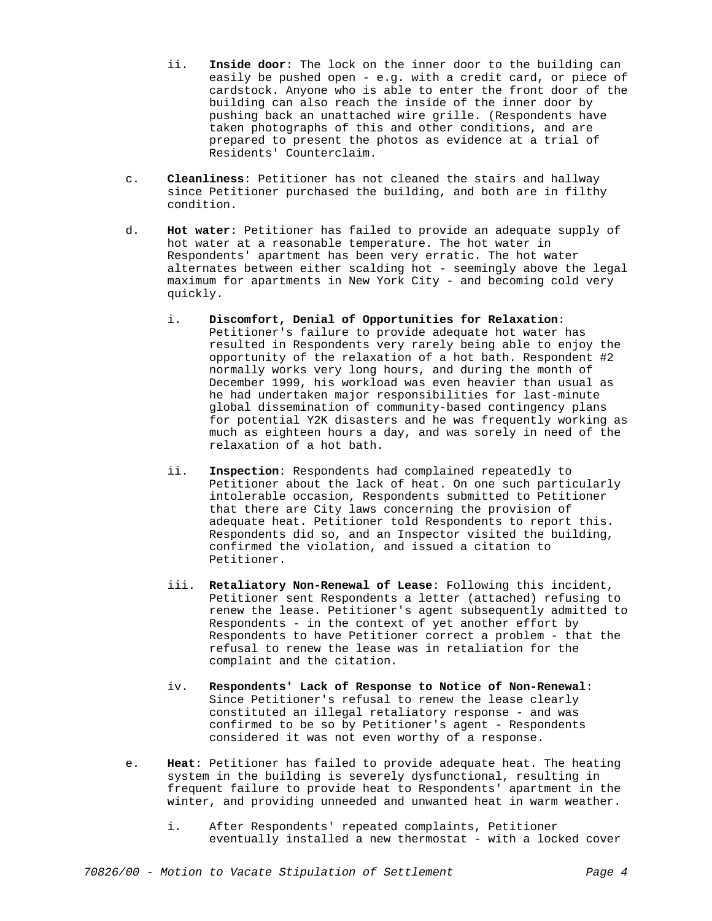- ii. **Inside door**: The lock on the inner door to the building can easily be pushed open - e.g. with a credit card, or piece of cardstock. Anyone who is able to enter the front door of the building can also reach the inside of the inner door by pushing back an unattached wire grille. (Respondents have taken photographs of this and other conditions, and are prepared to present the photos as evidence at a trial of Residents' Counterclaim.
- c. **Cleanliness**: Petitioner has not cleaned the stairs and hallway since Petitioner purchased the building, and both are in filthy condition.
- d. **Hot water**: Petitioner has failed to provide an adequate supply of hot water at a reasonable temperature. The hot water in Respondents' apartment has been very erratic. The hot water alternates between either scalding hot - seemingly above the legal maximum for apartments in New York City - and becoming cold very quickly.
	- i. **Discomfort, Denial of Opportunities for Relaxation**: Petitioner's failure to provide adequate hot water has resulted in Respondents very rarely being able to enjoy the opportunity of the relaxation of a hot bath. Respondent #2 normally works very long hours, and during the month of December 1999, his workload was even heavier than usual as he had undertaken major responsibilities for last-minute global dissemination of community-based contingency plans for potential Y2K disasters and he was frequently working as much as eighteen hours a day, and was sorely in need of the relaxation of a hot bath.
	- ii. **Inspection**: Respondents had complained repeatedly to Petitioner about the lack of heat. On one such particularly intolerable occasion, Respondents submitted to Petitioner that there are City laws concerning the provision of adequate heat. Petitioner told Respondents to report this. Respondents did so, and an Inspector visited the building, confirmed the violation, and issued a citation to Petitioner.
	- iii. **Retaliatory Non-Renewal of Lease**: Following this incident, Petitioner sent Respondents a letter (attached) refusing to renew the lease. Petitioner's agent subsequently admitted to Respondents - in the context of yet another effort by Respondents to have Petitioner correct a problem - that the refusal to renew the lease was in retaliation for the complaint and the citation.
	- iv. **Respondents' Lack of Response to Notice of Non-Renewal**: Since Petitioner's refusal to renew the lease clearly constituted an illegal retaliatory response - and was confirmed to be so by Petitioner's agent - Respondents considered it was not even worthy of a response.
- e. **Heat**: Petitioner has failed to provide adequate heat. The heating system in the building is severely dysfunctional, resulting in frequent failure to provide heat to Respondents' apartment in the winter, and providing unneeded and unwanted heat in warm weather.
	- i. After Respondents' repeated complaints, Petitioner eventually installed a new thermostat - with a locked cover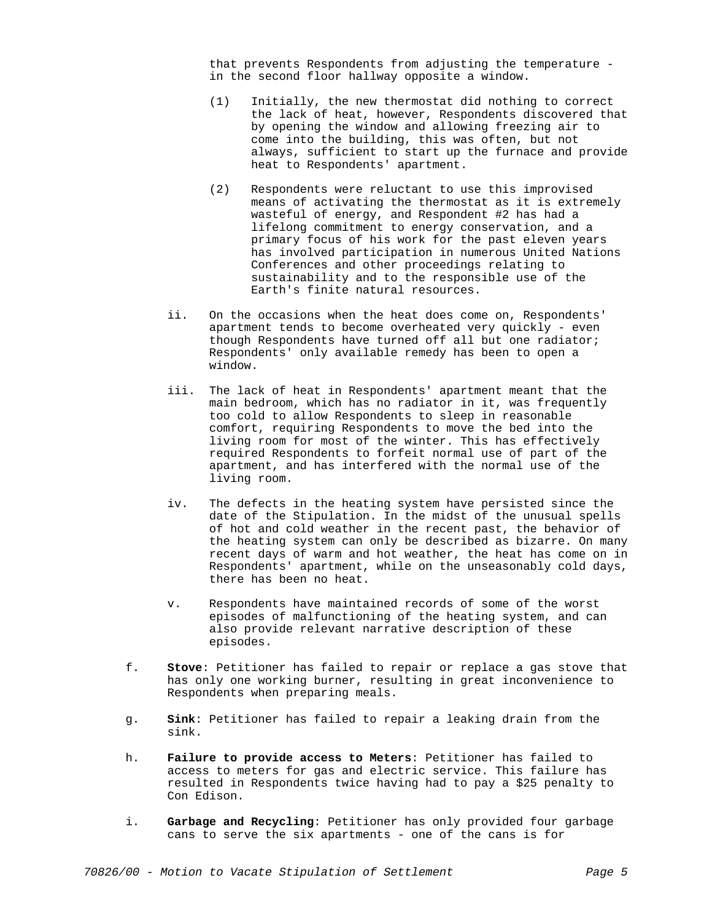that prevents Respondents from adjusting the temperature in the second floor hallway opposite a window.

- (1) Initially, the new thermostat did nothing to correct the lack of heat, however, Respondents discovered that by opening the window and allowing freezing air to come into the building, this was often, but not always, sufficient to start up the furnace and provide heat to Respondents' apartment.
- (2) Respondents were reluctant to use this improvised means of activating the thermostat as it is extremely wasteful of energy, and Respondent #2 has had a lifelong commitment to energy conservation, and a primary focus of his work for the past eleven years has involved participation in numerous United Nations Conferences and other proceedings relating to sustainability and to the responsible use of the Earth's finite natural resources.
- ii. On the occasions when the heat does come on, Respondents' apartment tends to become overheated very quickly - even though Respondents have turned off all but one radiator; Respondents' only available remedy has been to open a window.
- iii. The lack of heat in Respondents' apartment meant that the main bedroom, which has no radiator in it, was frequently too cold to allow Respondents to sleep in reasonable comfort, requiring Respondents to move the bed into the living room for most of the winter. This has effectively required Respondents to forfeit normal use of part of the apartment, and has interfered with the normal use of the living room.
- iv. The defects in the heating system have persisted since the date of the Stipulation. In the midst of the unusual spells of hot and cold weather in the recent past, the behavior of the heating system can only be described as bizarre. On many recent days of warm and hot weather, the heat has come on in Respondents' apartment, while on the unseasonably cold days, there has been no heat.
- v. Respondents have maintained records of some of the worst episodes of malfunctioning of the heating system, and can also provide relevant narrative description of these episodes.
- f. **Stove**: Petitioner has failed to repair or replace a gas stove that has only one working burner, resulting in great inconvenience to Respondents when preparing meals.
- g. **Sink**: Petitioner has failed to repair a leaking drain from the sink.
- h. **Failure to provide access to Meters**: Petitioner has failed to access to meters for gas and electric service. This failure has resulted in Respondents twice having had to pay a \$25 penalty to Con Edison.
- i. **Garbage and Recycling**: Petitioner has only provided four garbage cans to serve the six apartments - one of the cans is for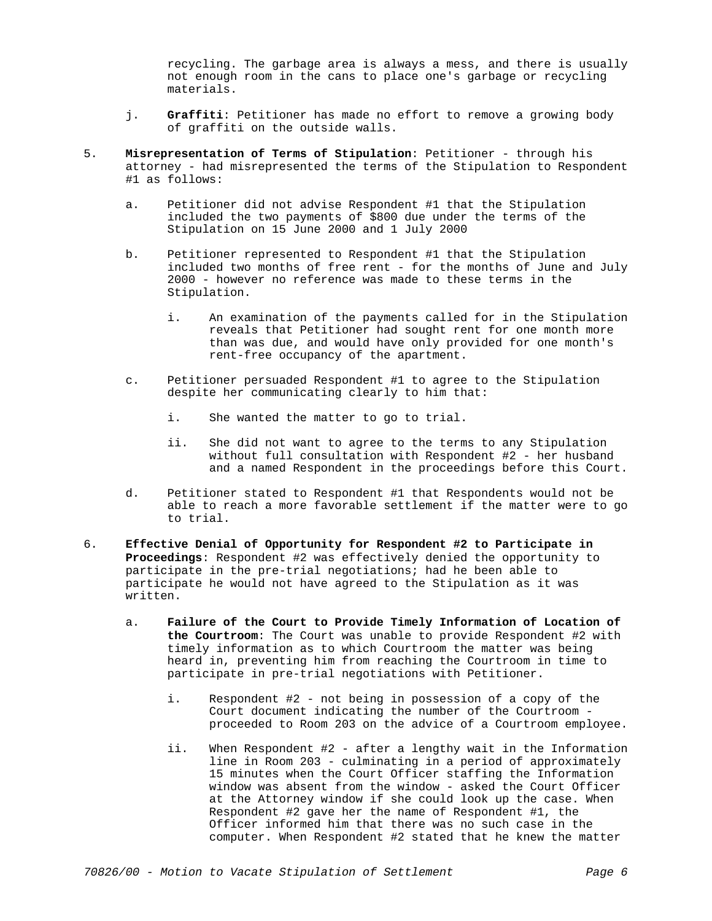recycling. The garbage area is always a mess, and there is usually not enough room in the cans to place one's garbage or recycling materials.

- j. **Graffiti**: Petitioner has made no effort to remove a growing body of graffiti on the outside walls.
- 5. **Misrepresentation of Terms of Stipulation**: Petitioner through his attorney - had misrepresented the terms of the Stipulation to Respondent #1 as follows:
	- a. Petitioner did not advise Respondent #1 that the Stipulation included the two payments of \$800 due under the terms of the Stipulation on 15 June 2000 and 1 July 2000
	- b. Petitioner represented to Respondent #1 that the Stipulation included two months of free rent - for the months of June and July 2000 - however no reference was made to these terms in the Stipulation.
		- i. An examination of the payments called for in the Stipulation reveals that Petitioner had sought rent for one month more than was due, and would have only provided for one month's rent-free occupancy of the apartment.
	- c. Petitioner persuaded Respondent #1 to agree to the Stipulation despite her communicating clearly to him that:
		- i. She wanted the matter to go to trial.
		- ii. She did not want to agree to the terms to any Stipulation without full consultation with Respondent #2 - her husband and a named Respondent in the proceedings before this Court.
	- d. Petitioner stated to Respondent #1 that Respondents would not be able to reach a more favorable settlement if the matter were to go to trial.
- 6. **Effective Denial of Opportunity for Respondent #2 to Participate in Proceedings**: Respondent #2 was effectively denied the opportunity to participate in the pre-trial negotiations; had he been able to participate he would not have agreed to the Stipulation as it was written.
	- a. **Failure of the Court to Provide Timely Information of Location of the Courtroom**: The Court was unable to provide Respondent #2 with timely information as to which Courtroom the matter was being heard in, preventing him from reaching the Courtroom in time to participate in pre-trial negotiations with Petitioner.
		- i. Respondent #2 not being in possession of a copy of the Court document indicating the number of the Courtroom proceeded to Room 203 on the advice of a Courtroom employee.
		- ii. When Respondent #2 after a lengthy wait in the Information line in Room 203 - culminating in a period of approximately 15 minutes when the Court Officer staffing the Information window was absent from the window - asked the Court Officer at the Attorney window if she could look up the case. When Respondent #2 gave her the name of Respondent #1, the Officer informed him that there was no such case in the computer. When Respondent #2 stated that he knew the matter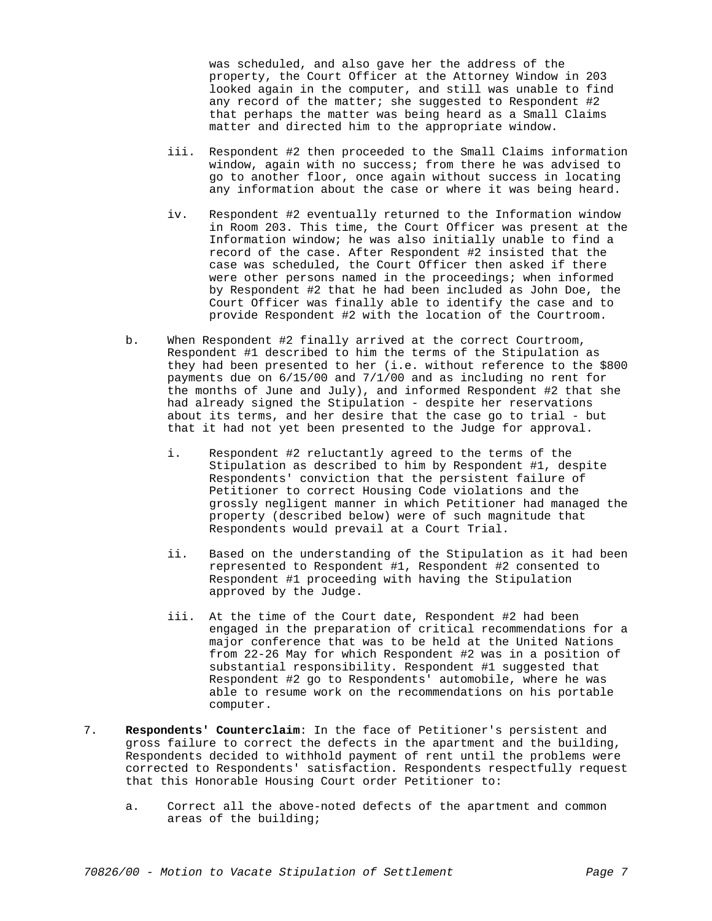was scheduled, and also gave her the address of the property, the Court Officer at the Attorney Window in 203 looked again in the computer, and still was unable to find any record of the matter; she suggested to Respondent #2 that perhaps the matter was being heard as a Small Claims matter and directed him to the appropriate window.

- iii. Respondent #2 then proceeded to the Small Claims information window, again with no success; from there he was advised to go to another floor, once again without success in locating any information about the case or where it was being heard.
- iv. Respondent #2 eventually returned to the Information window in Room 203. This time, the Court Officer was present at the Information window; he was also initially unable to find a record of the case. After Respondent #2 insisted that the case was scheduled, the Court Officer then asked if there were other persons named in the proceedings; when informed by Respondent #2 that he had been included as John Doe, the Court Officer was finally able to identify the case and to provide Respondent #2 with the location of the Courtroom.
- b. When Respondent #2 finally arrived at the correct Courtroom, Respondent #1 described to him the terms of the Stipulation as they had been presented to her (i.e. without reference to the \$800 payments due on 6/15/00 and 7/1/00 and as including no rent for the months of June and July), and informed Respondent #2 that she had already signed the Stipulation - despite her reservations about its terms, and her desire that the case go to trial - but that it had not yet been presented to the Judge for approval.
	- i. Respondent #2 reluctantly agreed to the terms of the Stipulation as described to him by Respondent #1, despite Respondents' conviction that the persistent failure of Petitioner to correct Housing Code violations and the grossly negligent manner in which Petitioner had managed the property (described below) were of such magnitude that Respondents would prevail at a Court Trial.
	- ii. Based on the understanding of the Stipulation as it had been represented to Respondent #1, Respondent #2 consented to Respondent #1 proceeding with having the Stipulation approved by the Judge.
	- iii. At the time of the Court date, Respondent #2 had been engaged in the preparation of critical recommendations for a major conference that was to be held at the United Nations from 22-26 May for which Respondent #2 was in a position of substantial responsibility. Respondent #1 suggested that Respondent #2 go to Respondents' automobile, where he was able to resume work on the recommendations on his portable computer.
- 7. **Respondents' Counterclaim**: In the face of Petitioner's persistent and gross failure to correct the defects in the apartment and the building, Respondents decided to withhold payment of rent until the problems were corrected to Respondents' satisfaction. Respondents respectfully request that this Honorable Housing Court order Petitioner to:
	- a. Correct all the above-noted defects of the apartment and common areas of the building;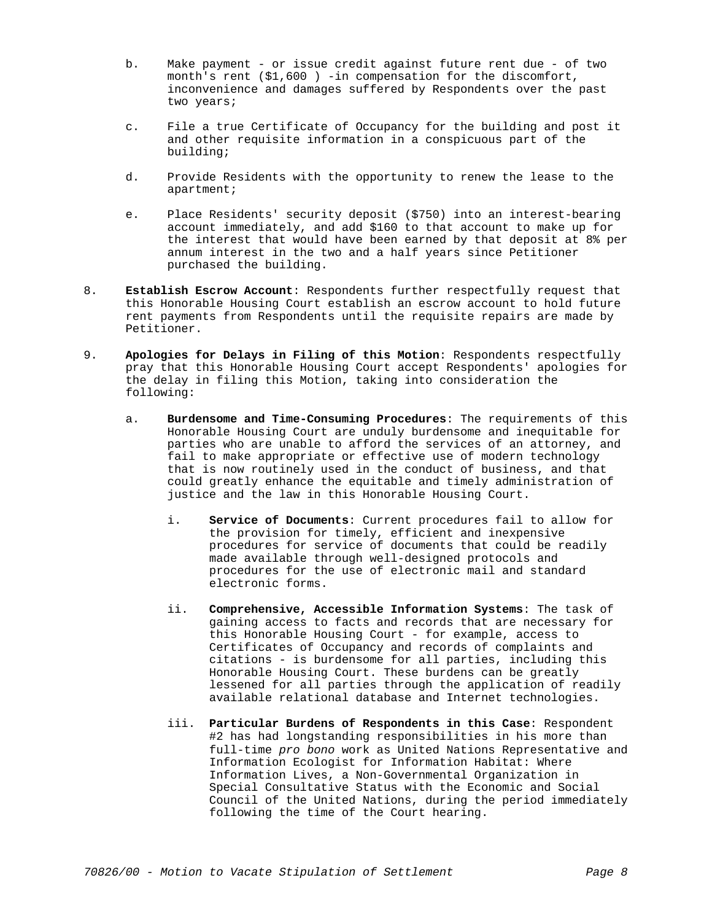- b. Make payment or issue credit against future rent due of two month's rent (\$1,600 ) -in compensation for the discomfort, inconvenience and damages suffered by Respondents over the past two years;
- c. File a true Certificate of Occupancy for the building and post it and other requisite information in a conspicuous part of the building;
- d. Provide Residents with the opportunity to renew the lease to the apartment;
- e. Place Residents' security deposit (\$750) into an interest-bearing account immediately, and add \$160 to that account to make up for the interest that would have been earned by that deposit at 8% per annum interest in the two and a half years since Petitioner purchased the building.
- 8. **Establish Escrow Account**: Respondents further respectfully request that this Honorable Housing Court establish an escrow account to hold future rent payments from Respondents until the requisite repairs are made by Petitioner.
- 9. **Apologies for Delays in Filing of this Motion**: Respondents respectfully pray that this Honorable Housing Court accept Respondents' apologies for the delay in filing this Motion, taking into consideration the following:
	- a. **Burdensome and Time-Consuming Procedures**: The requirements of this Honorable Housing Court are unduly burdensome and inequitable for parties who are unable to afford the services of an attorney, and fail to make appropriate or effective use of modern technology that is now routinely used in the conduct of business, and that could greatly enhance the equitable and timely administration of justice and the law in this Honorable Housing Court.
		- i. **Service of Documents**: Current procedures fail to allow for the provision for timely, efficient and inexpensive procedures for service of documents that could be readily made available through well-designed protocols and procedures for the use of electronic mail and standard electronic forms.
		- ii. **Comprehensive, Accessible Information Systems**: The task of gaining access to facts and records that are necessary for this Honorable Housing Court - for example, access to Certificates of Occupancy and records of complaints and citations - is burdensome for all parties, including this Honorable Housing Court. These burdens can be greatly lessened for all parties through the application of readily available relational database and Internet technologies.
		- iii. **Particular Burdens of Respondents in this Case**: Respondent #2 has had longstanding responsibilities in his more than full-time *pro bono* work as United Nations Representative and Information Ecologist for Information Habitat: Where Information Lives, a Non-Governmental Organization in Special Consultative Status with the Economic and Social Council of the United Nations, during the period immediately following the time of the Court hearing.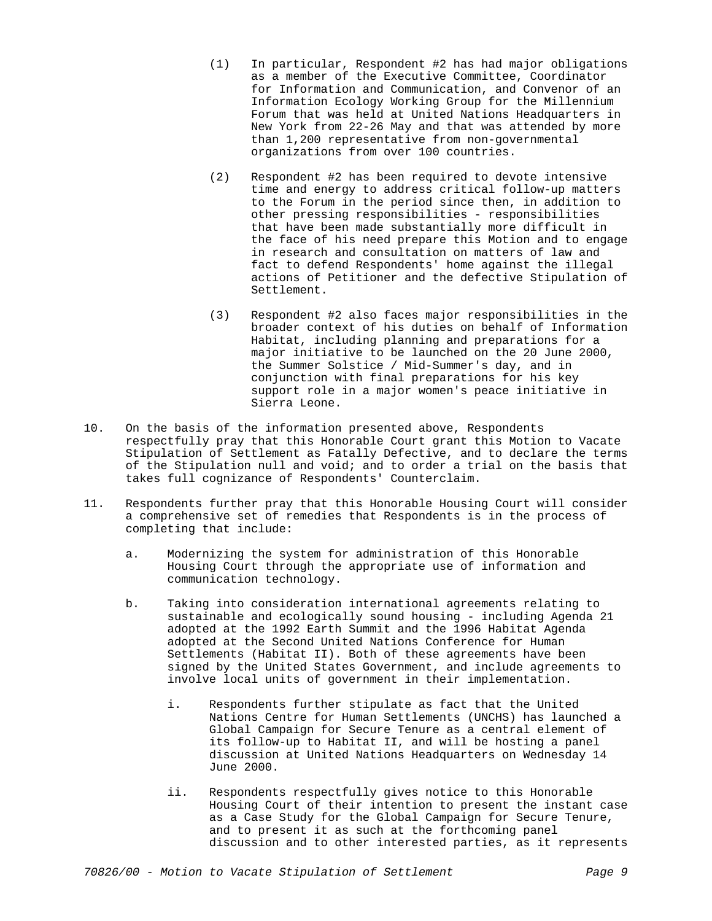- (1) In particular, Respondent #2 has had major obligations as a member of the Executive Committee, Coordinator for Information and Communication, and Convenor of an Information Ecology Working Group for the Millennium Forum that was held at United Nations Headquarters in New York from 22-26 May and that was attended by more than 1,200 representative from non-governmental organizations from over 100 countries.
- (2) Respondent #2 has been required to devote intensive time and energy to address critical follow-up matters to the Forum in the period since then, in addition to other pressing responsibilities - responsibilities that have been made substantially more difficult in the face of his need prepare this Motion and to engage in research and consultation on matters of law and fact to defend Respondents' home against the illegal actions of Petitioner and the defective Stipulation of Settlement.
- (3) Respondent #2 also faces major responsibilities in the broader context of his duties on behalf of Information Habitat, including planning and preparations for a major initiative to be launched on the 20 June 2000, the Summer Solstice / Mid-Summer's day, and in conjunction with final preparations for his key support role in a major women's peace initiative in Sierra Leone.
- 10. On the basis of the information presented above, Respondents respectfully pray that this Honorable Court grant this Motion to Vacate Stipulation of Settlement as Fatally Defective, and to declare the terms of the Stipulation null and void; and to order a trial on the basis that takes full cognizance of Respondents' Counterclaim.
- 11. Respondents further pray that this Honorable Housing Court will consider a comprehensive set of remedies that Respondents is in the process of completing that include:
	- a. Modernizing the system for administration of this Honorable Housing Court through the appropriate use of information and communication technology.
	- b. Taking into consideration international agreements relating to sustainable and ecologically sound housing - including Agenda 21 adopted at the 1992 Earth Summit and the 1996 Habitat Agenda adopted at the Second United Nations Conference for Human Settlements (Habitat II). Both of these agreements have been signed by the United States Government, and include agreements to involve local units of government in their implementation.
		- i. Respondents further stipulate as fact that the United Nations Centre for Human Settlements (UNCHS) has launched a Global Campaign for Secure Tenure as a central element of its follow-up to Habitat II, and will be hosting a panel discussion at United Nations Headquarters on Wednesday 14 June 2000.
		- ii. Respondents respectfully gives notice to this Honorable Housing Court of their intention to present the instant case as a Case Study for the Global Campaign for Secure Tenure, and to present it as such at the forthcoming panel discussion and to other interested parties, as it represents